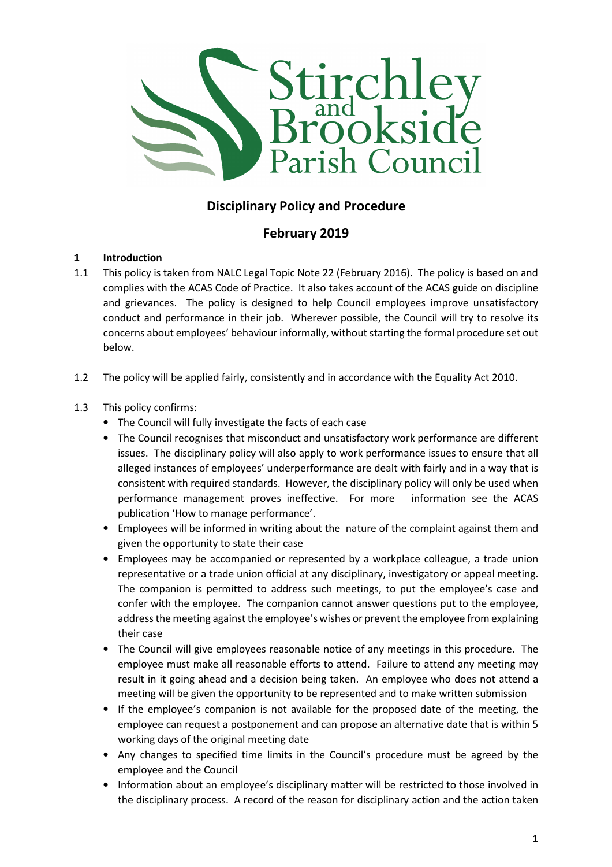

# Disciplinary Policy and Procedure

## February 2019

## 1 Introduction

- 1.1 This policy is taken from NALC Legal Topic Note 22 (February 2016). The policy is based on and complies with the ACAS Code of Practice. It also takes account of the ACAS guide on discipline and grievances. The policy is designed to help Council employees improve unsatisfactory conduct and performance in their job. Wherever possible, the Council will try to resolve its concerns about employees' behaviour informally, without starting the formal procedure set out below.
- 1.2 The policy will be applied fairly, consistently and in accordance with the Equality Act 2010.

#### 1.3 This policy confirms:

- The Council will fully investigate the facts of each case
- The Council recognises that misconduct and unsatisfactory work performance are different issues. The disciplinary policy will also apply to work performance issues to ensure that all alleged instances of employees' underperformance are dealt with fairly and in a way that is consistent with required standards. However, the disciplinary policy will only be used when performance management proves ineffective. For more information see the ACAS publication 'How to manage performance'.
- Employees will be informed in writing about the nature of the complaint against them and given the opportunity to state their case
- Employees may be accompanied or represented by a workplace colleague, a trade union representative or a trade union official at any disciplinary, investigatory or appeal meeting. The companion is permitted to address such meetings, to put the employee's case and confer with the employee. The companion cannot answer questions put to the employee, address the meeting against the employee's wishes or prevent the employee from explaining their case
- The Council will give employees reasonable notice of any meetings in this procedure. The employee must make all reasonable efforts to attend. Failure to attend any meeting may result in it going ahead and a decision being taken. An employee who does not attend a meeting will be given the opportunity to be represented and to make written submission
- If the employee's companion is not available for the proposed date of the meeting, the employee can request a postponement and can propose an alternative date that is within 5 working days of the original meeting date
- Any changes to specified time limits in the Council's procedure must be agreed by the employee and the Council
- Information about an employee's disciplinary matter will be restricted to those involved in the disciplinary process. A record of the reason for disciplinary action and the action taken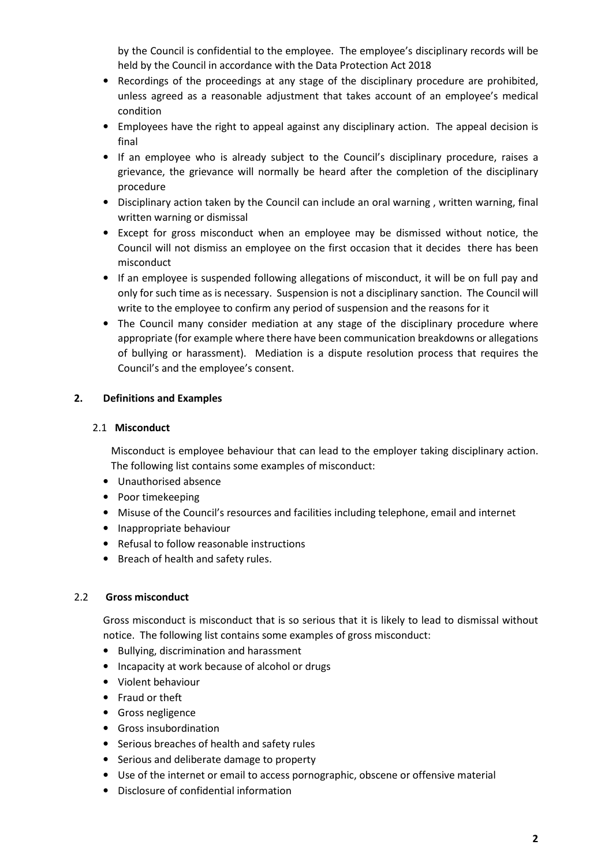by the Council is confidential to the employee. The employee's disciplinary records will be held by the Council in accordance with the Data Protection Act 2018

- Recordings of the proceedings at any stage of the disciplinary procedure are prohibited, unless agreed as a reasonable adjustment that takes account of an employee's medical condition
- Employees have the right to appeal against any disciplinary action. The appeal decision is final
- If an employee who is already subject to the Council's disciplinary procedure, raises a grievance, the grievance will normally be heard after the completion of the disciplinary procedure
- Disciplinary action taken by the Council can include an oral warning , written warning, final written warning or dismissal
- Except for gross misconduct when an employee may be dismissed without notice, the Council will not dismiss an employee on the first occasion that it decides there has been misconduct
- If an employee is suspended following allegations of misconduct, it will be on full pay and only for such time as is necessary. Suspension is not a disciplinary sanction. The Council will write to the employee to confirm any period of suspension and the reasons for it
- The Council many consider mediation at any stage of the disciplinary procedure where appropriate (for example where there have been communication breakdowns or allegations of bullying or harassment). Mediation is a dispute resolution process that requires the Council's and the employee's consent.

#### 2. Definitions and Examples

#### 2.1 Misconduct

Misconduct is employee behaviour that can lead to the employer taking disciplinary action. The following list contains some examples of misconduct:

- Unauthorised absence
- Poor timekeeping
- Misuse of the Council's resources and facilities including telephone, email and internet
- Inappropriate behaviour
- Refusal to follow reasonable instructions
- Breach of health and safety rules.

#### 2.2 Gross misconduct

Gross misconduct is misconduct that is so serious that it is likely to lead to dismissal without notice. The following list contains some examples of gross misconduct:

- Bullying, discrimination and harassment
- Incapacity at work because of alcohol or drugs
- Violent behaviour
- Fraud or theft
- Gross negligence
- Gross insubordination
- Serious breaches of health and safety rules
- Serious and deliberate damage to property
- Use of the internet or email to access pornographic, obscene or offensive material
- Disclosure of confidential information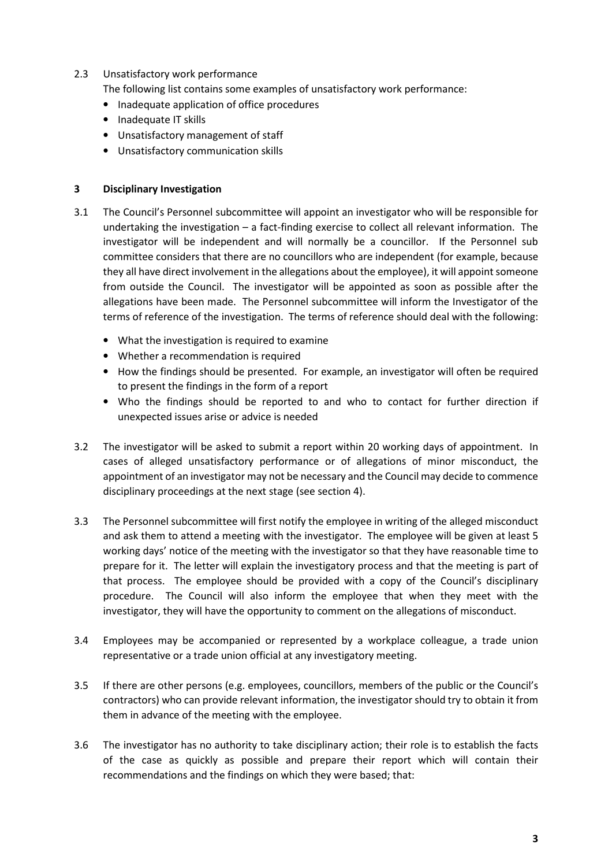#### 2.3 Unsatisfactory work performance

The following list contains some examples of unsatisfactory work performance:

- Inadequate application of office procedures
- Inadequate IT skills
- Unsatisfactory management of staff
- Unsatisfactory communication skills

#### 3 Disciplinary Investigation

- 3.1 The Council's Personnel subcommittee will appoint an investigator who will be responsible for undertaking the investigation – a fact-finding exercise to collect all relevant information. The investigator will be independent and will normally be a councillor. If the Personnel sub committee considers that there are no councillors who are independent (for example, because they all have direct involvement in the allegations about the employee), it will appoint someone from outside the Council. The investigator will be appointed as soon as possible after the allegations have been made. The Personnel subcommittee will inform the Investigator of the terms of reference of the investigation. The terms of reference should deal with the following:
	- What the investigation is required to examine
	- Whether a recommendation is required
	- How the findings should be presented. For example, an investigator will often be required to present the findings in the form of a report
	- Who the findings should be reported to and who to contact for further direction if unexpected issues arise or advice is needed
- 3.2 The investigator will be asked to submit a report within 20 working days of appointment. In cases of alleged unsatisfactory performance or of allegations of minor misconduct, the appointment of an investigator may not be necessary and the Council may decide to commence disciplinary proceedings at the next stage (see section 4).
- 3.3 The Personnel subcommittee will first notify the employee in writing of the alleged misconduct and ask them to attend a meeting with the investigator. The employee will be given at least 5 working days' notice of the meeting with the investigator so that they have reasonable time to prepare for it. The letter will explain the investigatory process and that the meeting is part of that process. The employee should be provided with a copy of the Council's disciplinary procedure. The Council will also inform the employee that when they meet with the investigator, they will have the opportunity to comment on the allegations of misconduct.
- 3.4 Employees may be accompanied or represented by a workplace colleague, a trade union representative or a trade union official at any investigatory meeting.
- 3.5 If there are other persons (e.g. employees, councillors, members of the public or the Council's contractors) who can provide relevant information, the investigator should try to obtain it from them in advance of the meeting with the employee.
- 3.6 The investigator has no authority to take disciplinary action; their role is to establish the facts of the case as quickly as possible and prepare their report which will contain their recommendations and the findings on which they were based; that: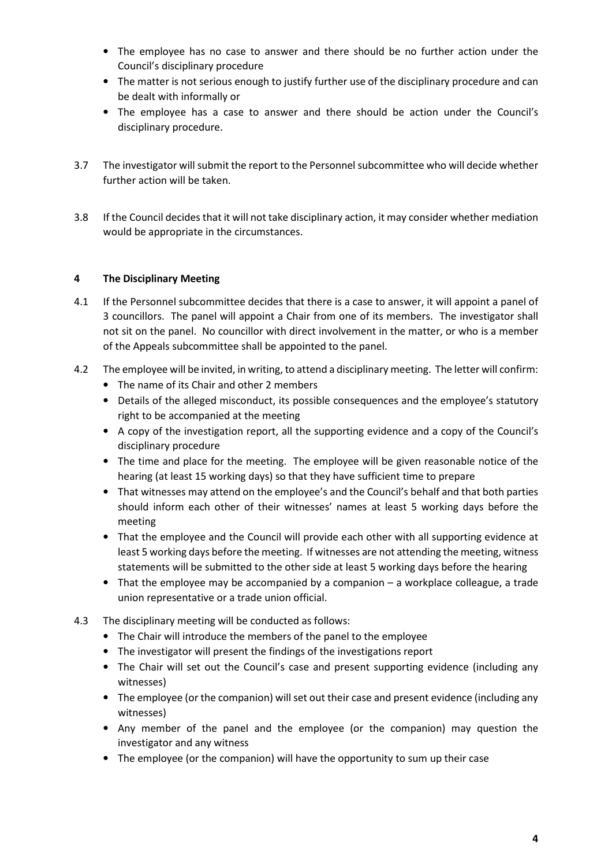- The employee has no case to answer and there should be no further action under the Council's disciplinary procedure
- The matter is not serious enough to justify further use of the disciplinary procedure and can be dealt with informally or
- The employee has a case to answer and there should be action under the Council's disciplinary procedure.
- 3.7 The investigator will submit the report to the Personnel subcommittee who will decide whether further action will be taken.
- 3.8 If the Council decides that it will not take disciplinary action, it may consider whether mediation would be appropriate in the circumstances.

## 4 The Disciplinary Meeting

- 4.1 If the Personnel subcommittee decides that there is a case to answer, it will appoint a panel of 3 councillors. The panel will appoint a Chair from one of its members. The investigator shall not sit on the panel. No councillor with direct involvement in the matter, or who is a member of the Appeals subcommittee shall be appointed to the panel.
- 4.2 The employee will be invited, in writing, to attend a disciplinary meeting. The letter will confirm:
	- The name of its Chair and other 2 members
	- Details of the alleged misconduct, its possible consequences and the employee's statutory right to be accompanied at the meeting
	- A copy of the investigation report, all the supporting evidence and a copy of the Council's disciplinary procedure
	- The time and place for the meeting. The employee will be given reasonable notice of the hearing (at least 15 working days) so that they have sufficient time to prepare
	- That witnesses may attend on the employee's and the Council's behalf and that both parties should inform each other of their witnesses' names at least 5 working days before the meeting
	- That the employee and the Council will provide each other with all supporting evidence at least 5 working days before the meeting. If witnesses are not attending the meeting, witness statements will be submitted to the other side at least 5 working days before the hearing
	- That the employee may be accompanied by a companion a workplace colleague, a trade union representative or a trade union official.
- 4.3 The disciplinary meeting will be conducted as follows:
	- The Chair will introduce the members of the panel to the employee
	- The investigator will present the findings of the investigations report
	- The Chair will set out the Council's case and present supporting evidence (including any witnesses)
	- The employee (or the companion) will set out their case and present evidence (including any witnesses)
	- Any member of the panel and the employee (or the companion) may question the investigator and any witness
	- The employee (or the companion) will have the opportunity to sum up their case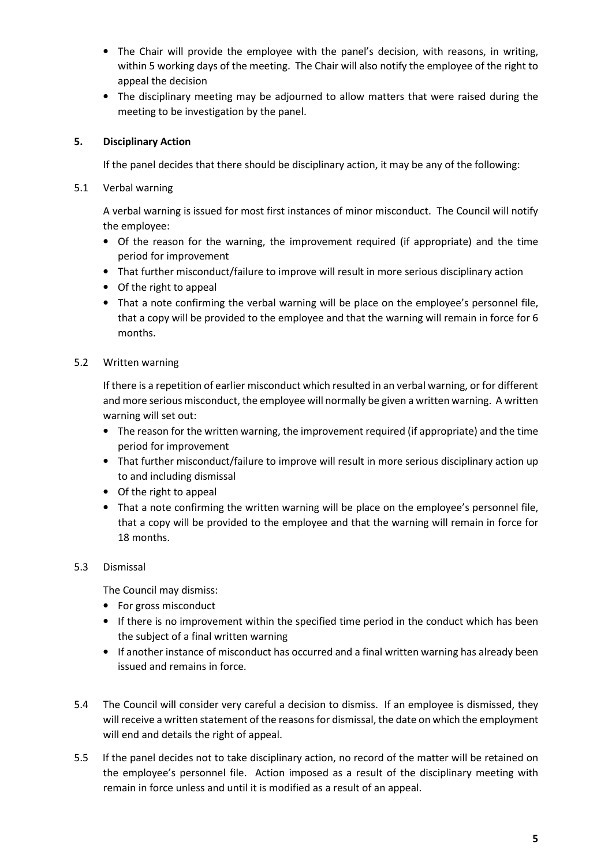- The Chair will provide the employee with the panel's decision, with reasons, in writing, within 5 working days of the meeting. The Chair will also notify the employee of the right to appeal the decision
- The disciplinary meeting may be adjourned to allow matters that were raised during the meeting to be investigation by the panel.

## 5. Disciplinary Action

If the panel decides that there should be disciplinary action, it may be any of the following:

5.1 Verbal warning

A verbal warning is issued for most first instances of minor misconduct. The Council will notify the employee:

- Of the reason for the warning, the improvement required (if appropriate) and the time period for improvement
- That further misconduct/failure to improve will result in more serious disciplinary action
- Of the right to appeal
- That a note confirming the verbal warning will be place on the employee's personnel file, that a copy will be provided to the employee and that the warning will remain in force for 6 months.
- 5.2 Written warning

If there is a repetition of earlier misconduct which resulted in an verbal warning, or for different and more serious misconduct, the employee will normally be given a written warning. A written warning will set out:

- The reason for the written warning, the improvement required (if appropriate) and the time period for improvement
- That further misconduct/failure to improve will result in more serious disciplinary action up to and including dismissal
- Of the right to appeal
- That a note confirming the written warning will be place on the employee's personnel file, that a copy will be provided to the employee and that the warning will remain in force for 18 months.

## 5.3 Dismissal

The Council may dismiss:

- For gross misconduct
- If there is no improvement within the specified time period in the conduct which has been the subject of a final written warning
- If another instance of misconduct has occurred and a final written warning has already been issued and remains in force.
- 5.4 The Council will consider very careful a decision to dismiss. If an employee is dismissed, they will receive a written statement of the reasons for dismissal, the date on which the employment will end and details the right of appeal.
- 5.5 If the panel decides not to take disciplinary action, no record of the matter will be retained on the employee's personnel file. Action imposed as a result of the disciplinary meeting with remain in force unless and until it is modified as a result of an appeal.